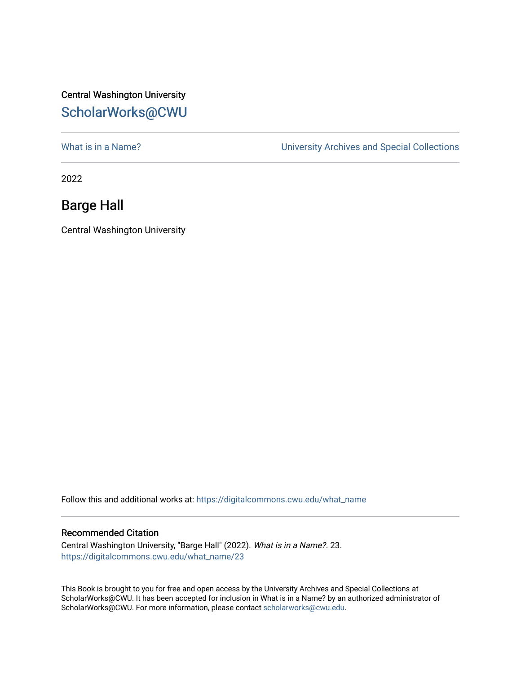## Central Washington University [ScholarWorks@CWU](https://digitalcommons.cwu.edu/)

[What is in a Name?](https://digitalcommons.cwu.edu/what_name) **What is in a Name?** University Archives and Special Collections

2022

## Barge Hall

Central Washington University

Follow this and additional works at: [https://digitalcommons.cwu.edu/what\\_name](https://digitalcommons.cwu.edu/what_name?utm_source=digitalcommons.cwu.edu%2Fwhat_name%2F23&utm_medium=PDF&utm_campaign=PDFCoverPages) 

## Recommended Citation

Central Washington University, "Barge Hall" (2022). What is in a Name?. 23. [https://digitalcommons.cwu.edu/what\\_name/23](https://digitalcommons.cwu.edu/what_name/23?utm_source=digitalcommons.cwu.edu%2Fwhat_name%2F23&utm_medium=PDF&utm_campaign=PDFCoverPages) 

This Book is brought to you for free and open access by the University Archives and Special Collections at ScholarWorks@CWU. It has been accepted for inclusion in What is in a Name? by an authorized administrator of ScholarWorks@CWU. For more information, please contact [scholarworks@cwu.edu](mailto:scholarworks@cwu.edu).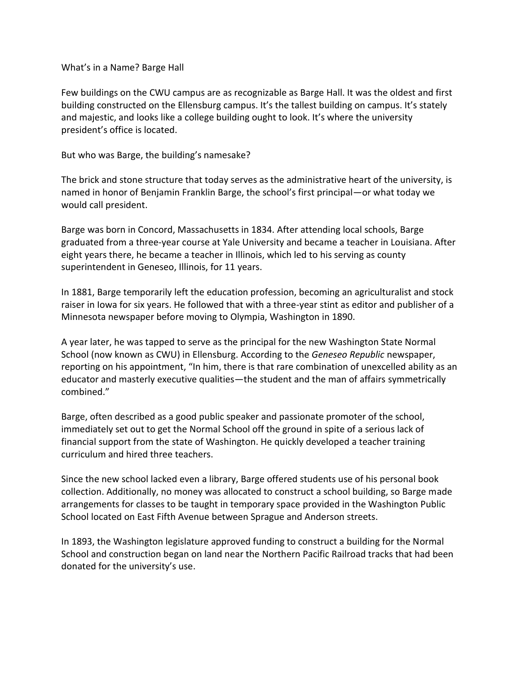What's in a Name? Barge Hall

Few buildings on the CWU campus are as recognizable as Barge Hall. It was the oldest and first building constructed on the Ellensburg campus. It's the tallest building on campus. It's stately and majestic, and looks like a college building ought to look. It's where the university president's office is located.

But who was Barge, the building's namesake?

The brick and stone structure that today serves as the administrative heart of the university, is named in honor of Benjamin Franklin Barge, the school's first principal—or what today we would call president.

Barge was born in Concord, Massachusetts in 1834. After attending local schools, Barge graduated from a three-year course at Yale University and became a teacher in Louisiana. After eight years there, he became a teacher in Illinois, which led to his serving as county superintendent in Geneseo, Illinois, for 11 years.

In 1881, Barge temporarily left the education profession, becoming an agriculturalist and stock raiser in Iowa for six years. He followed that with a three-year stint as editor and publisher of a Minnesota newspaper before moving to Olympia, Washington in 1890.

A year later, he was tapped to serve as the principal for the new Washington State Normal School (now known as CWU) in Ellensburg. According to the *Geneseo Republic* newspaper, reporting on his appointment, "In him, there is that rare combination of unexcelled ability as an educator and masterly executive qualities—the student and the man of affairs symmetrically combined."

Barge, often described as a good public speaker and passionate promoter of the school, immediately set out to get the Normal School off the ground in spite of a serious lack of financial support from the state of Washington. He quickly developed a teacher training curriculum and hired three teachers.

Since the new school lacked even a library, Barge offered students use of his personal book collection. Additionally, no money was allocated to construct a school building, so Barge made arrangements for classes to be taught in temporary space provided in the Washington Public School located on East Fifth Avenue between Sprague and Anderson streets.

In 1893, the Washington legislature approved funding to construct a building for the Normal School and construction began on land near the Northern Pacific Railroad tracks that had been donated for the university's use.